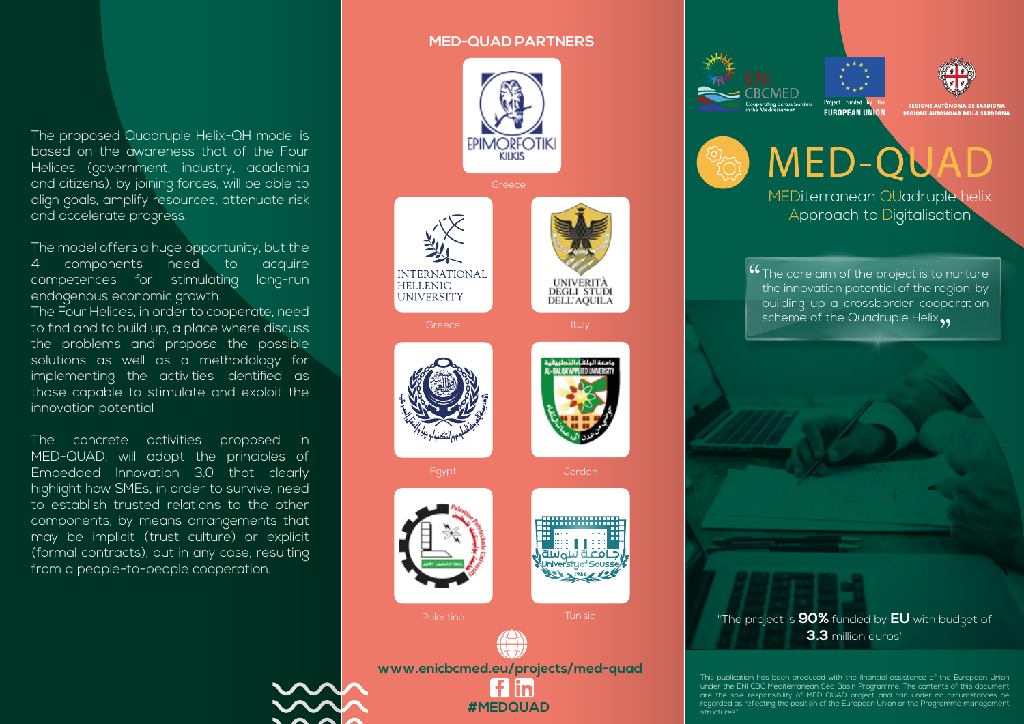## **MED-QUAD PARTNERS**



The model offers a huge opportunity, but the 4 components need to acquire competences for stimulating long-run endogenous economic growth.

The Four Helices, in order to cooperate, need to find and to build up, a place where discuss the problems and propose the possible solutions as well as a methodology for implementing the activities identified as those capable to stimulate and exploit the innovation potential

The concrete activities proposed in MED-QUAD, will adopt the principles of Embedded Innovation 3.0 that clearly highlight how SMEs, in order to survive, need to establish trusted relations to the other components, by means arrangements that may be implicit (trust culture) or explicit (formal contracts), but in any case, resulting from a people-to-people cooperation.



**BCMED** .<br>Cooperating across borders<br>in the Mediterranean



OMA DE SA **REGIONE AUTONOMA DELLA SARDEGNA** 

MED-QU MEDiterranean QUadruple helix Approach to Digitalisation

Project funded

**4 The core aim of the project is to nurture**<br>the innovation potential of the region, by the innovation potential of the region, by building up a crossborder cooperation scheme of the Quadruple Helix,



"The project is **90%** funded by **EU** with budget of **3.3** million euros"

This publication has been produced with the financial assistance of the European Union under the ENI CBC Mediterranean Sea Basin Programme. The contents of this document are the sole responsibility of MED-QUAD project and can under no circumstances be regarded as reflecting the position of the European Union or the Programme management structures"



**www.enicbcmed.eu/projects/med-quad** l f lin

Tunisia

**#MEDQUAD** 

Palestine